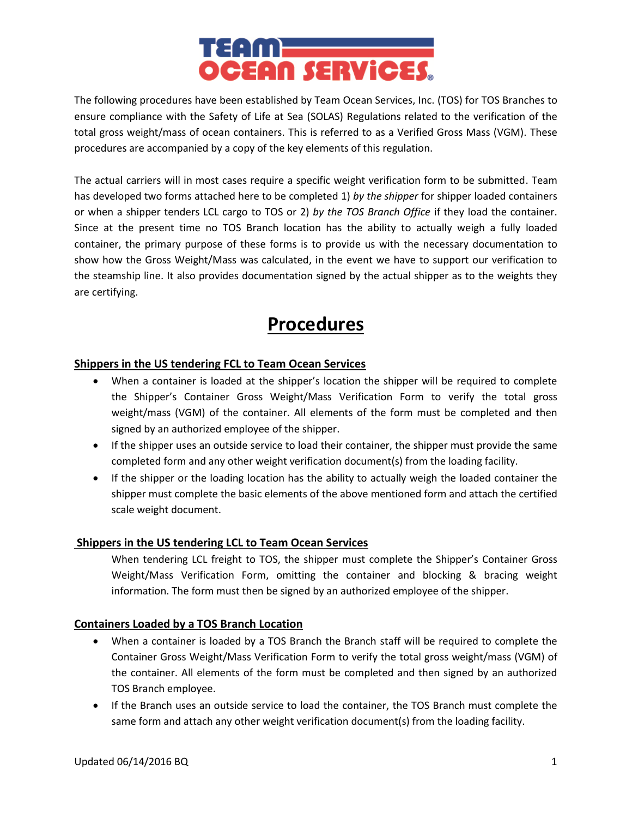

The following procedures have been established by Team Ocean Services, Inc. (TOS) for TOS Branches to ensure compliance with the Safety of Life at Sea (SOLAS) Regulations related to the verification of the total gross weight/mass of ocean containers. This is referred to as a Verified Gross Mass (VGM). These procedures are accompanied by a copy of the key elements of this regulation.

The actual carriers will in most cases require a specific weight verification form to be submitted. Team has developed two forms attached here to be completed 1) *by the shipper* for shipper loaded containers or when a shipper tenders LCL cargo to TOS or 2) *by the TOS Branch Office* if they load the container. Since at the present time no TOS Branch location has the ability to actually weigh a fully loaded container, the primary purpose of these forms is to provide us with the necessary documentation to show how the Gross Weight/Mass was calculated, in the event we have to support our verification to the steamship line. It also provides documentation signed by the actual shipper as to the weights they are certifying.

# **Procedures**

# **Shippers in the US tendering FCL to Team Ocean Services**

- When a container is loaded at the shipper's location the shipper will be required to complete the Shipper's Container Gross Weight/Mass Verification Form to verify the total gross weight/mass (VGM) of the container. All elements of the form must be completed and then signed by an authorized employee of the shipper.
- If the shipper uses an outside service to load their container, the shipper must provide the same completed form and any other weight verification document(s) from the loading facility.
- If the shipper or the loading location has the ability to actually weigh the loaded container the shipper must complete the basic elements of the above mentioned form and attach the certified scale weight document.

# **Shippers in the US tendering LCL to Team Ocean Services**

When tendering LCL freight to TOS, the shipper must complete the Shipper's Container Gross Weight/Mass Verification Form, omitting the container and blocking & bracing weight information. The form must then be signed by an authorized employee of the shipper.

# **Containers Loaded by a TOS Branch Location**

- When a container is loaded by a TOS Branch the Branch staff will be required to complete the Container Gross Weight/Mass Verification Form to verify the total gross weight/mass (VGM) of the container. All elements of the form must be completed and then signed by an authorized TOS Branch employee.
- If the Branch uses an outside service to load the container, the TOS Branch must complete the same form and attach any other weight verification document(s) from the loading facility.